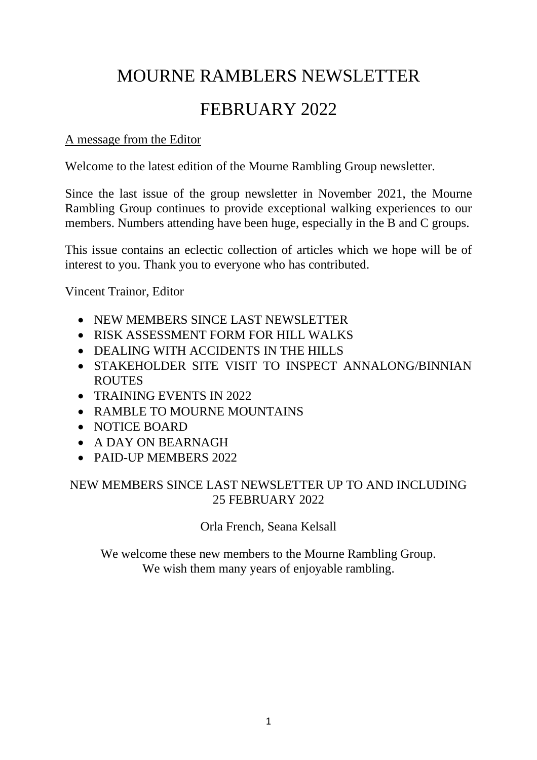# MOURNE RAMBLERS NEWSLETTER

# FEBRUARY 2022

## A message from the Editor

Welcome to the latest edition of the Mourne Rambling Group newsletter.

Since the last issue of the group newsletter in November 2021, the Mourne Rambling Group continues to provide exceptional walking experiences to our members. Numbers attending have been huge, especially in the B and C groups.

This issue contains an eclectic collection of articles which we hope will be of interest to you. Thank you to everyone who has contributed.

Vincent Trainor, Editor

- NEW MEMBERS SINCE LAST NEWSLETTER
- RISK ASSESSMENT FORM FOR HILL WALKS
- DEALING WITH ACCIDENTS IN THE HILLS
- STAKEHOLDER SITE VISIT TO INSPECT ANNALONG/BINNIAN ROUTES
- TRAINING EVENTS IN 2022
- RAMBLE TO MOURNE MOUNTAINS
- NOTICE BOARD
- A DAY ON BEARNAGH
- PAID-UP MEMBERS 2022

## NEW MEMBERS SINCE LAST NEWSLETTER UP TO AND INCLUDING 25 FEBRUARY 2022

Orla French, Seana Kelsall

We welcome these new members to the Mourne Rambling Group. We wish them many years of enjoyable rambling.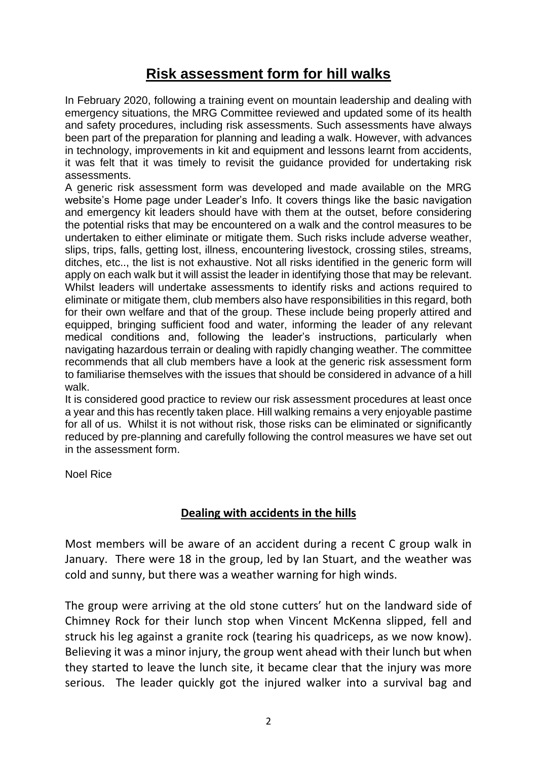## **Risk assessment form for hill walks**

In February 2020, following a training event on mountain leadership and dealing with emergency situations, the MRG Committee reviewed and updated some of its health and safety procedures, including risk assessments. Such assessments have always been part of the preparation for planning and leading a walk. However, with advances in technology, improvements in kit and equipment and lessons learnt from accidents, it was felt that it was timely to revisit the guidance provided for undertaking risk assessments.

A generic risk assessment form was developed and made available on the MRG website's Home page under Leader's Info. It covers things like the basic navigation and emergency kit leaders should have with them at the outset, before considering the potential risks that may be encountered on a walk and the control measures to be undertaken to either eliminate or mitigate them. Such risks include adverse weather, slips, trips, falls, getting lost, illness, encountering livestock, crossing stiles, streams, ditches, etc.., the list is not exhaustive. Not all risks identified in the generic form will apply on each walk but it will assist the leader in identifying those that may be relevant. Whilst leaders will undertake assessments to identify risks and actions required to eliminate or mitigate them, club members also have responsibilities in this regard, both for their own welfare and that of the group. These include being properly attired and equipped, bringing sufficient food and water, informing the leader of any relevant medical conditions and, following the leader's instructions, particularly when navigating hazardous terrain or dealing with rapidly changing weather. The committee recommends that all club members have a look at the generic risk assessment form to familiarise themselves with the issues that should be considered in advance of a hill walk.

It is considered good practice to review our risk assessment procedures at least once a year and this has recently taken place. Hill walking remains a very enjoyable pastime for all of us. Whilst it is not without risk, those risks can be eliminated or significantly reduced by pre-planning and carefully following the control measures we have set out in the assessment form.

Noel Rice

## **Dealing with accidents in the hills**

Most members will be aware of an accident during a recent C group walk in January. There were 18 in the group, led by Ian Stuart, and the weather was cold and sunny, but there was a weather warning for high winds.

The group were arriving at the old stone cutters' hut on the landward side of Chimney Rock for their lunch stop when Vincent McKenna slipped, fell and struck his leg against a granite rock (tearing his quadriceps, as we now know). Believing it was a minor injury, the group went ahead with their lunch but when they started to leave the lunch site, it became clear that the injury was more serious. The leader quickly got the injured walker into a survival bag and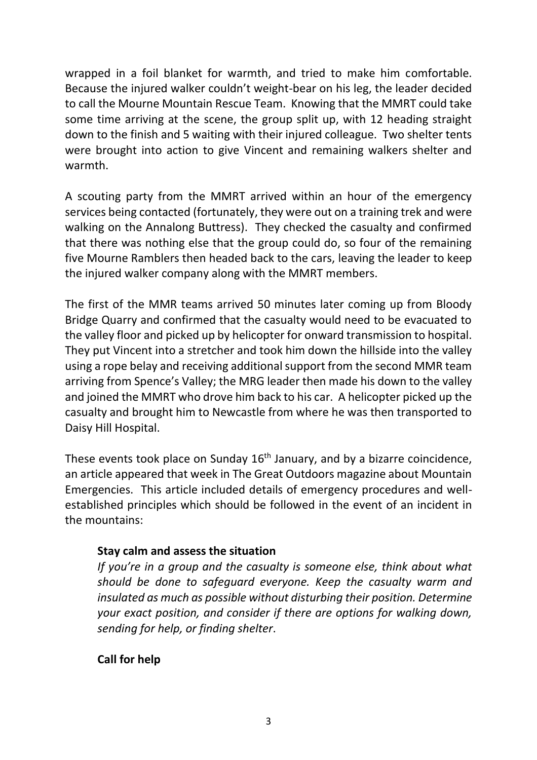wrapped in a foil blanket for warmth, and tried to make him comfortable. Because the injured walker couldn't weight-bear on his leg, the leader decided to call the Mourne Mountain Rescue Team. Knowing that the MMRT could take some time arriving at the scene, the group split up, with 12 heading straight down to the finish and 5 waiting with their injured colleague. Two shelter tents were brought into action to give Vincent and remaining walkers shelter and warmth.

A scouting party from the MMRT arrived within an hour of the emergency services being contacted (fortunately, they were out on a training trek and were walking on the Annalong Buttress). They checked the casualty and confirmed that there was nothing else that the group could do, so four of the remaining five Mourne Ramblers then headed back to the cars, leaving the leader to keep the injured walker company along with the MMRT members.

The first of the MMR teams arrived 50 minutes later coming up from Bloody Bridge Quarry and confirmed that the casualty would need to be evacuated to the valley floor and picked up by helicopter for onward transmission to hospital. They put Vincent into a stretcher and took him down the hillside into the valley using a rope belay and receiving additional support from the second MMR team arriving from Spence's Valley; the MRG leader then made his down to the valley and joined the MMRT who drove him back to his car. A helicopter picked up the casualty and brought him to Newcastle from where he was then transported to Daisy Hill Hospital.

These events took place on Sunday 16<sup>th</sup> January, and by a bizarre coincidence, an article appeared that week in The Great Outdoors magazine about Mountain Emergencies. This article included details of emergency procedures and wellestablished principles which should be followed in the event of an incident in the mountains:

## **Stay calm and assess the situation**

*If you're in a group and the casualty is someone else, think about what should be done to safeguard everyone. Keep the casualty warm and insulated as much as possible without disturbing their position. Determine your exact position, and consider if there are options for walking down, sending for help, or finding shelter*.

## **Call for help**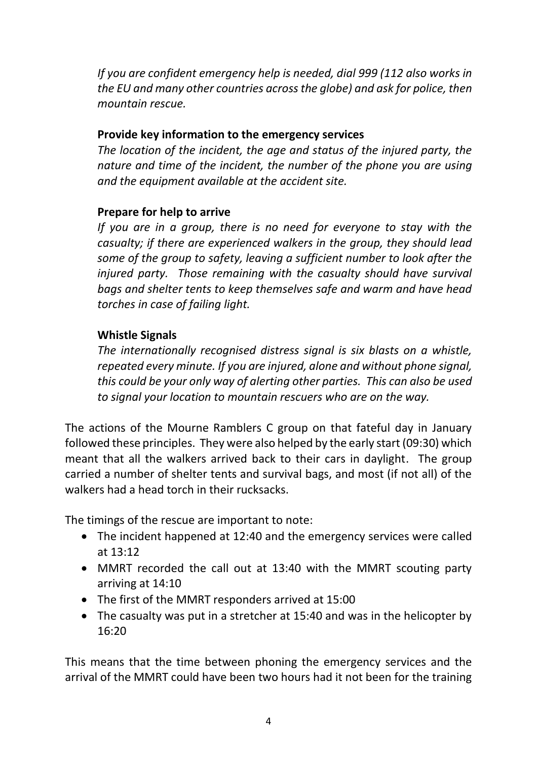*If you are confident emergency help is needed, dial 999 (112 also works in the EU and many other countries across the globe) and ask for police, then mountain rescue.*

## **Provide key information to the emergency services**

*The location of the incident, the age and status of the injured party, the nature and time of the incident, the number of the phone you are using and the equipment available at the accident site.*

## **Prepare for help to arrive**

*If you are in a group, there is no need for everyone to stay with the casualty; if there are experienced walkers in the group, they should lead some of the group to safety, leaving a sufficient number to look after the injured party. Those remaining with the casualty should have survival bags and shelter tents to keep themselves safe and warm and have head torches in case of failing light.*

## **Whistle Signals**

*The internationally recognised distress signal is six blasts on a whistle, repeated every minute. If you are injured, alone and without phone signal, this could be your only way of alerting other parties. This can also be used to signal your location to mountain rescuers who are on the way.*

The actions of the Mourne Ramblers C group on that fateful day in January followed these principles. They were also helped by the early start (09:30) which meant that all the walkers arrived back to their cars in daylight. The group carried a number of shelter tents and survival bags, and most (if not all) of the walkers had a head torch in their rucksacks.

The timings of the rescue are important to note:

- The incident happened at 12:40 and the emergency services were called at 13:12
- MMRT recorded the call out at 13:40 with the MMRT scouting party arriving at 14:10
- The first of the MMRT responders arrived at 15:00
- The casualty was put in a stretcher at 15:40 and was in the helicopter by 16:20

This means that the time between phoning the emergency services and the arrival of the MMRT could have been two hours had it not been for the training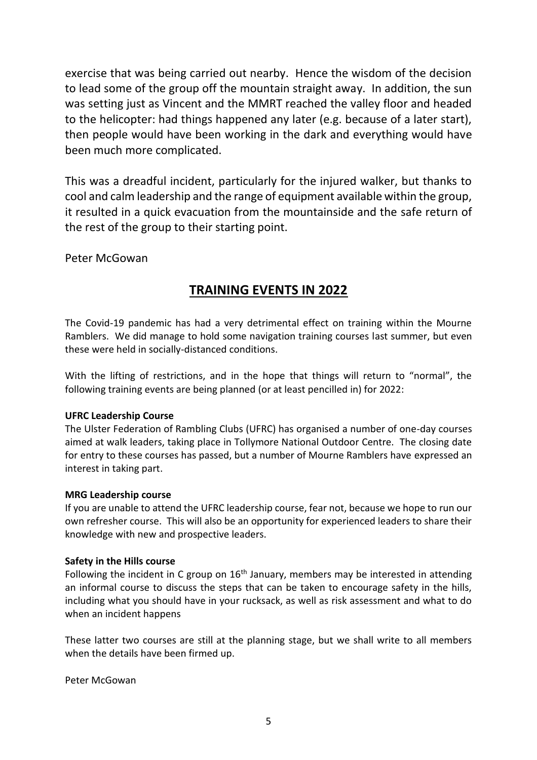exercise that was being carried out nearby. Hence the wisdom of the decision to lead some of the group off the mountain straight away. In addition, the sun was setting just as Vincent and the MMRT reached the valley floor and headed to the helicopter: had things happened any later (e.g. because of a later start), then people would have been working in the dark and everything would have been much more complicated.

This was a dreadful incident, particularly for the injured walker, but thanks to cool and calm leadership and the range of equipment available within the group, it resulted in a quick evacuation from the mountainside and the safe return of the rest of the group to their starting point.

Peter McGowan

## **TRAINING EVENTS IN 2022**

The Covid-19 pandemic has had a very detrimental effect on training within the Mourne Ramblers. We did manage to hold some navigation training courses last summer, but even these were held in socially-distanced conditions.

With the lifting of restrictions, and in the hope that things will return to "normal", the following training events are being planned (or at least pencilled in) for 2022:

#### **UFRC Leadership Course**

The Ulster Federation of Rambling Clubs (UFRC) has organised a number of one-day courses aimed at walk leaders, taking place in Tollymore National Outdoor Centre. The closing date for entry to these courses has passed, but a number of Mourne Ramblers have expressed an interest in taking part.

#### **MRG Leadership course**

If you are unable to attend the UFRC leadership course, fear not, because we hope to run our own refresher course. This will also be an opportunity for experienced leaders to share their knowledge with new and prospective leaders.

#### **Safety in the Hills course**

Following the incident in C group on  $16<sup>th</sup>$  January, members may be interested in attending an informal course to discuss the steps that can be taken to encourage safety in the hills, including what you should have in your rucksack, as well as risk assessment and what to do when an incident happens

These latter two courses are still at the planning stage, but we shall write to all members when the details have been firmed up.

Peter McGowan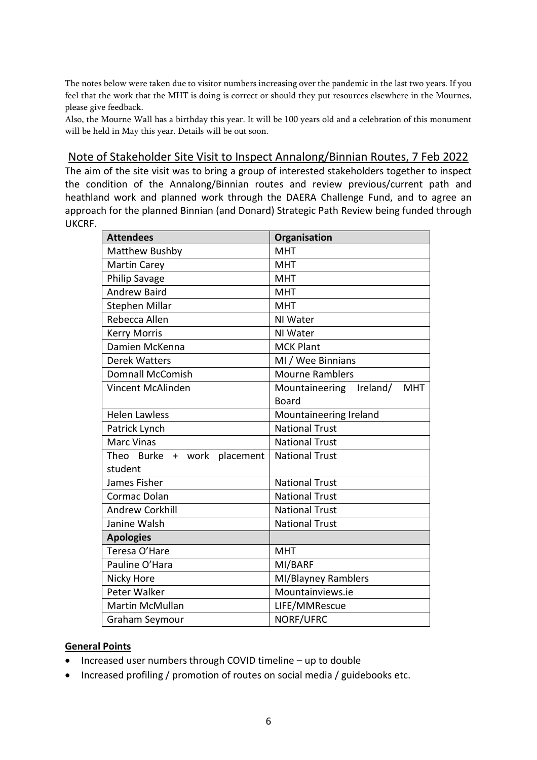The notes below were taken due to visitor numbers increasing over the pandemic in the last two years. If you feel that the work that the MHT is doing is correct or should they put resources elsewhere in the Mournes, please give feedback.

Also, the Mourne Wall has a birthday this year. It will be 100 years old and a celebration of this monument will be held in May this year. Details will be out soon.

#### Note of Stakeholder Site Visit to Inspect Annalong/Binnian Routes, 7 Feb 2022

The aim of the site visit was to bring a group of interested stakeholders together to inspect the condition of the Annalong/Binnian routes and review previous/current path and heathland work and planned work through the DAERA Challenge Fund, and to agree an approach for the planned Binnian (and Donard) Strategic Path Review being funded through UKCRF.

| <b>Attendees</b>               | Organisation                          |
|--------------------------------|---------------------------------------|
| Matthew Bushby                 | <b>MHT</b>                            |
| <b>Martin Carey</b>            | <b>MHT</b>                            |
| <b>Philip Savage</b>           | <b>MHT</b>                            |
| <b>Andrew Baird</b>            | <b>MHT</b>                            |
| Stephen Millar                 | <b>MHT</b>                            |
| Rebecca Allen                  | NI Water                              |
| <b>Kerry Morris</b>            | NI Water                              |
| Damien McKenna                 | <b>MCK Plant</b>                      |
| <b>Derek Watters</b>           | MI / Wee Binnians                     |
| <b>Domnall McComish</b>        | <b>Mourne Ramblers</b>                |
| Vincent McAlinden              | Mountaineering Ireland/<br><b>MHT</b> |
|                                | <b>Board</b>                          |
| <b>Helen Lawless</b>           | Mountaineering Ireland                |
| Patrick Lynch                  | <b>National Trust</b>                 |
| <b>Marc Vinas</b>              | <b>National Trust</b>                 |
| Theo Burke + work<br>placement | <b>National Trust</b>                 |
| student                        |                                       |
| James Fisher                   | <b>National Trust</b>                 |
| Cormac Dolan                   | <b>National Trust</b>                 |
| <b>Andrew Corkhill</b>         | <b>National Trust</b>                 |
| Janine Walsh                   | <b>National Trust</b>                 |
| <b>Apologies</b>               |                                       |
| Teresa O'Hare                  | <b>MHT</b>                            |
| Pauline O'Hara                 | MI/BARF                               |
| Nicky Hore                     | MI/Blayney Ramblers                   |
| Peter Walker                   | Mountainviews.ie                      |
| Martin McMullan                | LIFE/MMRescue                         |
| Graham Seymour                 | NORF/UFRC                             |

#### **General Points**

- Increased user numbers through COVID timeline up to double
- Increased profiling / promotion of routes on social media / guidebooks etc.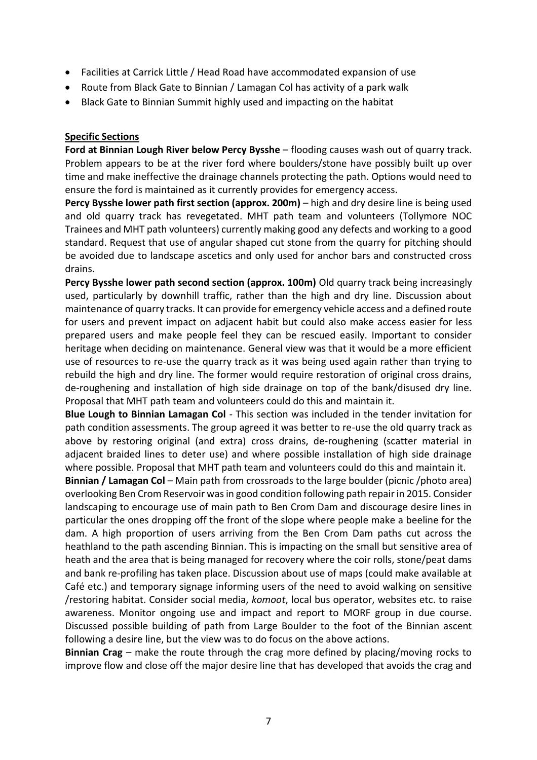- Facilities at Carrick Little / Head Road have accommodated expansion of use
- Route from Black Gate to Binnian / Lamagan Col has activity of a park walk
- Black Gate to Binnian Summit highly used and impacting on the habitat

#### **Specific Sections**

**Ford at Binnian Lough River below Percy Bysshe** – flooding causes wash out of quarry track. Problem appears to be at the river ford where boulders/stone have possibly built up over time and make ineffective the drainage channels protecting the path. Options would need to ensure the ford is maintained as it currently provides for emergency access.

**Percy Bysshe lower path first section (approx. 200m)** – high and dry desire line is being used and old quarry track has revegetated. MHT path team and volunteers (Tollymore NOC Trainees and MHT path volunteers) currently making good any defects and working to a good standard. Request that use of angular shaped cut stone from the quarry for pitching should be avoided due to landscape ascetics and only used for anchor bars and constructed cross drains.

**Percy Bysshe lower path second section (approx. 100m)** Old quarry track being increasingly used, particularly by downhill traffic, rather than the high and dry line. Discussion about maintenance of quarry tracks. It can provide for emergency vehicle access and a defined route for users and prevent impact on adjacent habit but could also make access easier for less prepared users and make people feel they can be rescued easily. Important to consider heritage when deciding on maintenance. General view was that it would be a more efficient use of resources to re-use the quarry track as it was being used again rather than trying to rebuild the high and dry line. The former would require restoration of original cross drains, de-roughening and installation of high side drainage on top of the bank/disused dry line. Proposal that MHT path team and volunteers could do this and maintain it.

**Blue Lough to Binnian Lamagan Col** - This section was included in the tender invitation for path condition assessments. The group agreed it was better to re-use the old quarry track as above by restoring original (and extra) cross drains, de-roughening (scatter material in adjacent braided lines to deter use) and where possible installation of high side drainage where possible. Proposal that MHT path team and volunteers could do this and maintain it.

**Binnian / Lamagan Col** – Main path from crossroads to the large boulder (picnic /photo area) overlooking Ben Crom Reservoir was in good condition following path repair in 2015. Consider landscaping to encourage use of main path to Ben Crom Dam and discourage desire lines in particular the ones dropping off the front of the slope where people make a beeline for the dam. A high proportion of users arriving from the Ben Crom Dam paths cut across the heathland to the path ascending Binnian. This is impacting on the small but sensitive area of heath and the area that is being managed for recovery where the coir rolls, stone/peat dams and bank re-profiling has taken place. Discussion about use of maps (could make available at Café etc.) and temporary signage informing users of the need to avoid walking on sensitive /restoring habitat. Consider social media, *komoot*, local bus operator, websites etc. to raise awareness. Monitor ongoing use and impact and report to MORF group in due course. Discussed possible building of path from Large Boulder to the foot of the Binnian ascent following a desire line, but the view was to do focus on the above actions.

**Binnian Crag** – make the route through the crag more defined by placing/moving rocks to improve flow and close off the major desire line that has developed that avoids the crag and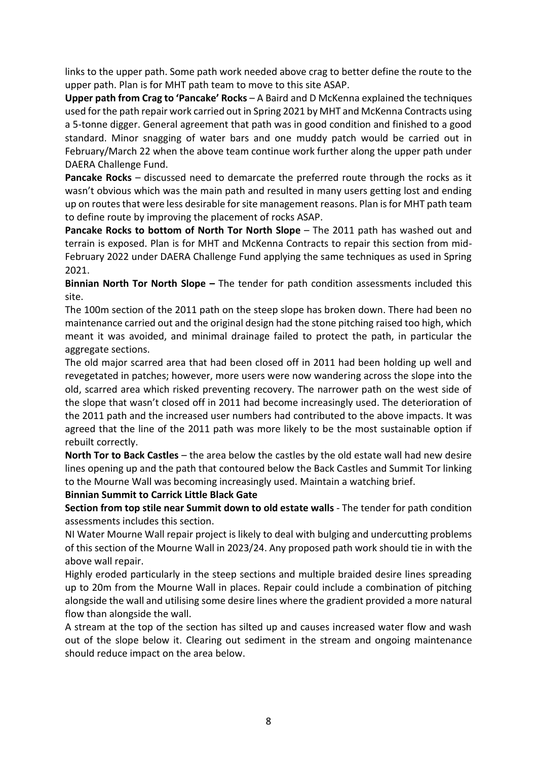links to the upper path. Some path work needed above crag to better define the route to the upper path. Plan is for MHT path team to move to this site ASAP.

**Upper path from Crag to 'Pancake' Rocks** – A Baird and D McKenna explained the techniques used for the path repair work carried out in Spring 2021 by MHT and McKenna Contracts using a 5-tonne digger. General agreement that path was in good condition and finished to a good standard. Minor snagging of water bars and one muddy patch would be carried out in February/March 22 when the above team continue work further along the upper path under DAERA Challenge Fund.

**Pancake Rocks** – discussed need to demarcate the preferred route through the rocks as it wasn't obvious which was the main path and resulted in many users getting lost and ending up on routes that were less desirable for site management reasons. Plan is for MHT path team to define route by improving the placement of rocks ASAP.

**Pancake Rocks to bottom of North Tor North Slope** – The 2011 path has washed out and terrain is exposed. Plan is for MHT and McKenna Contracts to repair this section from mid-February 2022 under DAERA Challenge Fund applying the same techniques as used in Spring 2021.

**Binnian North Tor North Slope –** The tender for path condition assessments included this site.

The 100m section of the 2011 path on the steep slope has broken down. There had been no maintenance carried out and the original design had the stone pitching raised too high, which meant it was avoided, and minimal drainage failed to protect the path, in particular the aggregate sections.

The old major scarred area that had been closed off in 2011 had been holding up well and revegetated in patches; however, more users were now wandering across the slope into the old, scarred area which risked preventing recovery. The narrower path on the west side of the slope that wasn't closed off in 2011 had become increasingly used. The deterioration of the 2011 path and the increased user numbers had contributed to the above impacts. It was agreed that the line of the 2011 path was more likely to be the most sustainable option if rebuilt correctly.

**North Tor to Back Castles** – the area below the castles by the old estate wall had new desire lines opening up and the path that contoured below the Back Castles and Summit Tor linking to the Mourne Wall was becoming increasingly used. Maintain a watching brief.

#### **Binnian Summit to Carrick Little Black Gate**

**Section from top stile near Summit down to old estate walls** - The tender for path condition assessments includes this section.

NI Water Mourne Wall repair project is likely to deal with bulging and undercutting problems of this section of the Mourne Wall in 2023/24. Any proposed path work should tie in with the above wall repair.

Highly eroded particularly in the steep sections and multiple braided desire lines spreading up to 20m from the Mourne Wall in places. Repair could include a combination of pitching alongside the wall and utilising some desire lines where the gradient provided a more natural flow than alongside the wall.

A stream at the top of the section has silted up and causes increased water flow and wash out of the slope below it. Clearing out sediment in the stream and ongoing maintenance should reduce impact on the area below.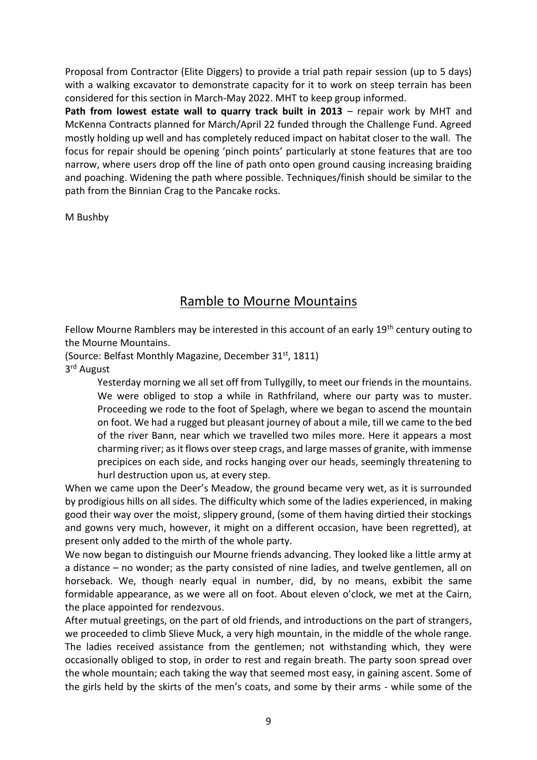Proposal from Contractor (Elite Diggers) to provide a trial path repair session (up to 5 days) with a walking excavator to demonstrate capacity for it to work on steep terrain has been considered for this section in March-May 2022. MHT to keep group informed.

**Path from lowest estate wall to quarry track built in 2013** – repair work by MHT and McKenna Contracts planned for March/April 22 funded through the Challenge Fund. Agreed mostly holding up well and has completely reduced impact on habitat closer to the wall. The focus for repair should be opening 'pinch points' particularly at stone features that are too narrow, where users drop off the line of path onto open ground causing increasing braiding and poaching. Widening the path where possible. Techniques/finish should be similar to the path from the Binnian Crag to the Pancake rocks.

M Bushby

## Ramble to Mourne Mountains

Fellow Mourne Ramblers may be interested in this account of an early 19<sup>th</sup> century outing to the Mourne Mountains.

(Source: Belfast Monthly Magazine, December 31<sup>st</sup>, 1811)

3<sup>rd</sup> August

Yesterday morning we all set off from Tullygilly, to meet our friends in the mountains. We were obliged to stop a while in Rathfriland, where our party was to muster. Proceeding we rode to the foot of Spelagh, where we began to ascend the mountain on foot. We had a rugged but pleasant journey of about a mile, till we came to the bed of the river Bann, near which we travelled two miles more. Here it appears a most charming river; as it flows over steep crags, and large masses of granite, with immense precipices on each side, and rocks hanging over our heads, seemingly threatening to hurl destruction upon us, at every step.

When we came upon the Deer's Meadow, the ground became very wet, as it is surrounded by prodigious hills on all sides. The difficulty which some of the ladies experienced, in making good their way over the moist, slippery ground, (some of them having dirtied their stockings and gowns very much, however, it might on a different occasion, have been regretted), at present only added to the mirth of the whole party.

We now began to distinguish our Mourne friends advancing. They looked like a little army at a distance – no wonder; as the party consisted of nine ladies, and twelve gentlemen, all on horseback. We, though nearly equal in number, did, by no means, exbibit the same formidable appearance, as we were all on foot. About eleven o'clock, we met at the Cairn, the place appointed for rendezvous.

After mutual greetings, on the part of old friends, and introductions on the part of strangers, we proceeded to climb Slieve Muck, a very high mountain, in the middle of the whole range. The ladies received assistance from the gentlemen; not withstanding which, they were occasionally obliged to stop, in order to rest and regain breath. The party soon spread over the whole mountain; each taking the way that seemed most easy, in gaining ascent. Some of the girls held by the skirts of the men's coats, and some by their arms - while some of the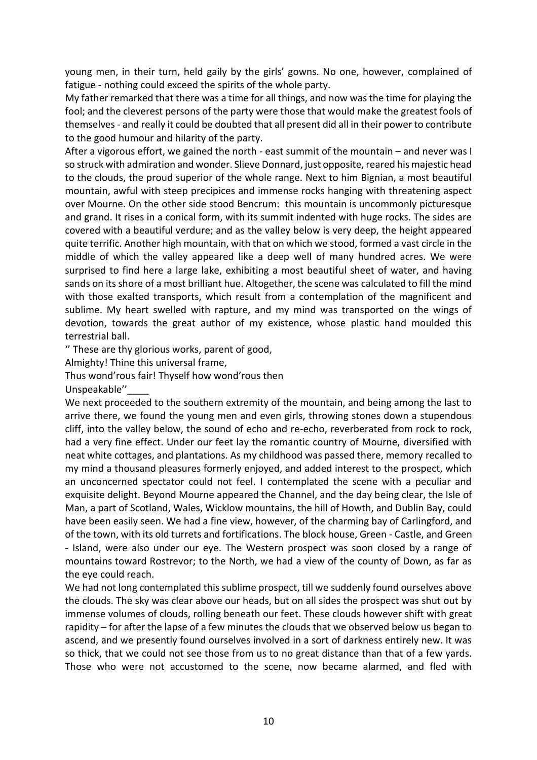young men, in their turn, held gaily by the girls' gowns. No one, however, complained of fatigue - nothing could exceed the spirits of the whole party.

My father remarked that there was a time for all things, and now was the time for playing the fool; and the cleverest persons of the party were those that would make the greatest fools of themselves - and really it could be doubted that all present did all in their power to contribute to the good humour and hilarity of the party.

After a vigorous effort, we gained the north - east summit of the mountain – and never was I so struck with admiration and wonder. Slieve Donnard, just opposite, reared his majestic head to the clouds, the proud superior of the whole range. Next to him Bignian, a most beautiful mountain, awful with steep precipices and immense rocks hanging with threatening aspect over Mourne. On the other side stood Bencrum: this mountain is uncommonly picturesque and grand. It rises in a conical form, with its summit indented with huge rocks. The sides are covered with a beautiful verdure; and as the valley below is very deep, the height appeared quite terrific. Another high mountain, with that on which we stood, formed a vast circle in the middle of which the valley appeared like a deep well of many hundred acres. We were surprised to find here a large lake, exhibiting a most beautiful sheet of water, and having sands on its shore of a most brilliant hue. Altogether, the scene was calculated to fill the mind with those exalted transports, which result from a contemplation of the magnificent and sublime. My heart swelled with rapture, and my mind was transported on the wings of devotion, towards the great author of my existence, whose plastic hand moulded this terrestrial ball.

'' These are thy glorious works, parent of good,

Almighty! Thine this universal frame,

Thus wond'rous fair! Thyself how wond'rous then

Unspeakable"

We next proceeded to the southern extremity of the mountain, and being among the last to arrive there, we found the young men and even girls, throwing stones down a stupendous cliff, into the valley below, the sound of echo and re-echo, reverberated from rock to rock, had a very fine effect. Under our feet lay the romantic country of Mourne, diversified with neat white cottages, and plantations. As my childhood was passed there, memory recalled to my mind a thousand pleasures formerly enjoyed, and added interest to the prospect, which an unconcerned spectator could not feel. I contemplated the scene with a peculiar and exquisite delight. Beyond Mourne appeared the Channel, and the day being clear, the Isle of Man, a part of Scotland, Wales, Wicklow mountains, the hill of Howth, and Dublin Bay, could have been easily seen. We had a fine view, however, of the charming bay of Carlingford, and of the town, with its old turrets and fortifications. The block house, Green - Castle, and Green - Island, were also under our eye. The Western prospect was soon closed by a range of mountains toward Rostrevor; to the North, we had a view of the county of Down, as far as the eye could reach.

We had not long contemplated this sublime prospect, till we suddenly found ourselves above the clouds. The sky was clear above our heads, but on all sides the prospect was shut out by immense volumes of clouds, rolling beneath our feet. These clouds however shift with great rapidity – for after the lapse of a few minutes the clouds that we observed below us began to ascend, and we presently found ourselves involved in a sort of darkness entirely new. It was so thick, that we could not see those from us to no great distance than that of a few yards. Those who were not accustomed to the scene, now became alarmed, and fled with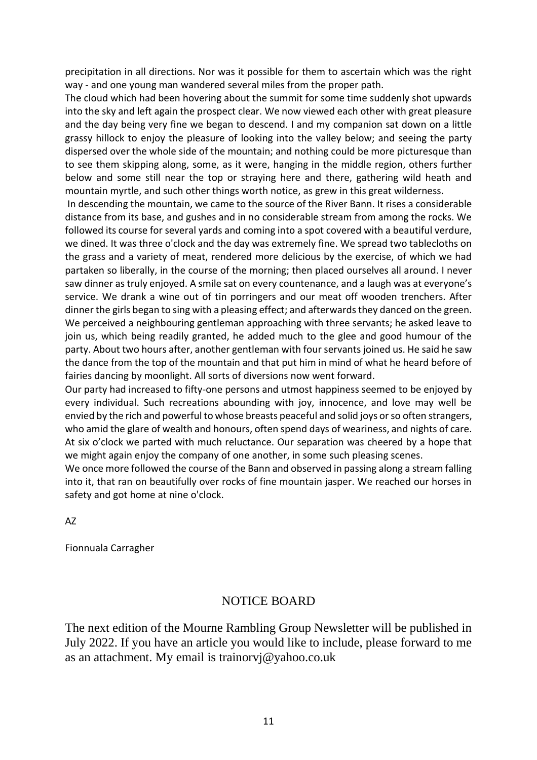precipitation in all directions. Nor was it possible for them to ascertain which was the right way - and one young man wandered several miles from the proper path.

The cloud which had been hovering about the summit for some time suddenly shot upwards into the sky and left again the prospect clear. We now viewed each other with great pleasure and the day being very fine we began to descend. I and my companion sat down on a little grassy hillock to enjoy the pleasure of looking into the valley below; and seeing the party dispersed over the whole side of the mountain; and nothing could be more picturesque than to see them skipping along, some, as it were, hanging in the middle region, others further below and some still near the top or straying here and there, gathering wild heath and mountain myrtle, and such other things worth notice, as grew in this great wilderness.

In descending the mountain, we came to the source of the River Bann. It rises a considerable distance from its base, and gushes and in no considerable stream from among the rocks. We followed its course for several yards and coming into a spot covered with a beautiful verdure, we dined. It was three o'clock and the day was extremely fine. We spread two tablecloths on the grass and a variety of meat, rendered more delicious by the exercise, of which we had partaken so liberally, in the course of the morning; then placed ourselves all around. I never saw dinner as truly enjoyed. A smile sat on every countenance, and a laugh was at everyone's service. We drank a wine out of tin porringers and our meat off wooden trenchers. After dinner the girls began to sing with a pleasing effect; and afterwards they danced on the green. We perceived a neighbouring gentleman approaching with three servants; he asked leave to join us, which being readily granted, he added much to the glee and good humour of the party. About two hours after, another gentleman with four servants joined us. He said he saw the dance from the top of the mountain and that put him in mind of what he heard before of fairies dancing by moonlight. All sorts of diversions now went forward.

Our party had increased to fifty-one persons and utmost happiness seemed to be enjoyed by every individual. Such recreations abounding with joy, innocence, and love may well be envied by the rich and powerful to whose breasts peaceful and solid joys or so often strangers, who amid the glare of wealth and honours, often spend days of weariness, and nights of care. At six o'clock we parted with much reluctance. Our separation was cheered by a hope that we might again enjoy the company of one another, in some such pleasing scenes.

We once more followed the course of the Bann and observed in passing along a stream falling into it, that ran on beautifully over rocks of fine mountain jasper. We reached our horses in safety and got home at nine o'clock.

#### AZ

Fionnuala Carragher

## NOTICE BOARD

The next edition of the Mourne Rambling Group Newsletter will be published in July 2022. If you have an article you would like to include, please forward to me as an attachment. My email is trainorvj@yahoo.co.uk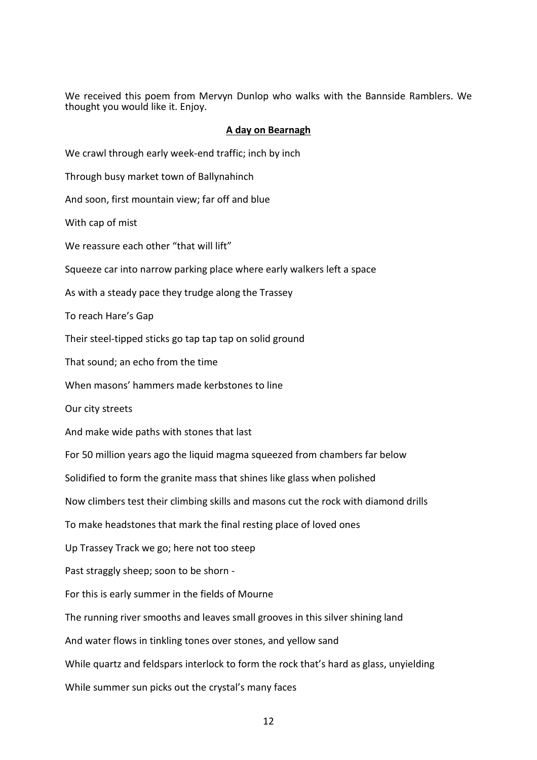We received this poem from Mervyn Dunlop who walks with the Bannside Ramblers. We thought you would like it. Enjoy.

#### **A day on Bearnagh**

We crawl through early week-end traffic; inch by inch Through busy market town of Ballynahinch And soon, first mountain view; far off and blue With cap of mist We reassure each other "that will lift" Squeeze car into narrow parking place where early walkers left a space As with a steady pace they trudge along the Trassey To reach Hare's Gap Their steel-tipped sticks go tap tap tap on solid ground That sound; an echo from the time When masons' hammers made kerbstones to line Our city streets And make wide paths with stones that last For 50 million years ago the liquid magma squeezed from chambers far below Solidified to form the granite mass that shines like glass when polished Now climbers test their climbing skills and masons cut the rock with diamond drills To make headstones that mark the final resting place of loved ones Up Trassey Track we go; here not too steep Past straggly sheep; soon to be shorn - For this is early summer in the fields of Mourne The running river smooths and leaves small grooves in this silver shining land And water flows in tinkling tones over stones, and yellow sand While quartz and feldspars interlock to form the rock that's hard as glass, unyielding While summer sun picks out the crystal's many faces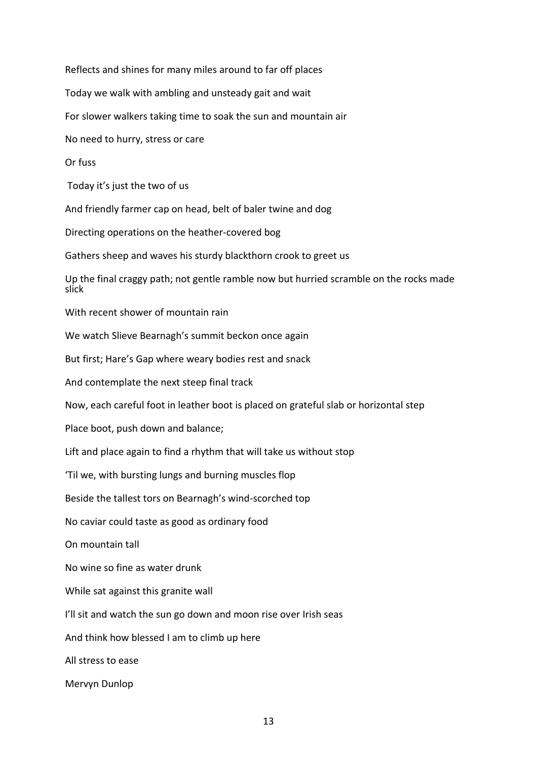Reflects and shines for many miles around to far off places Today we walk with ambling and unsteady gait and wait For slower walkers taking time to soak the sun and mountain air No need to hurry, stress or care Or fuss Today it's just the two of us And friendly farmer cap on head, belt of baler twine and dog Directing operations on the heather-covered bog Gathers sheep and waves his sturdy blackthorn crook to greet us Up the final craggy path; not gentle ramble now but hurried scramble on the rocks made slick With recent shower of mountain rain We watch Slieve Bearnagh's summit beckon once again But first; Hare's Gap where weary bodies rest and snack And contemplate the next steep final track Now, each careful foot in leather boot is placed on grateful slab or horizontal step Place boot, push down and balance; Lift and place again to find a rhythm that will take us without stop 'Til we, with bursting lungs and burning muscles flop Beside the tallest tors on Bearnagh's wind-scorched top No caviar could taste as good as ordinary food On mountain tall No wine so fine as water drunk While sat against this granite wall I'll sit and watch the sun go down and moon rise over Irish seas And think how blessed I am to climb up here All stress to ease Mervyn Dunlop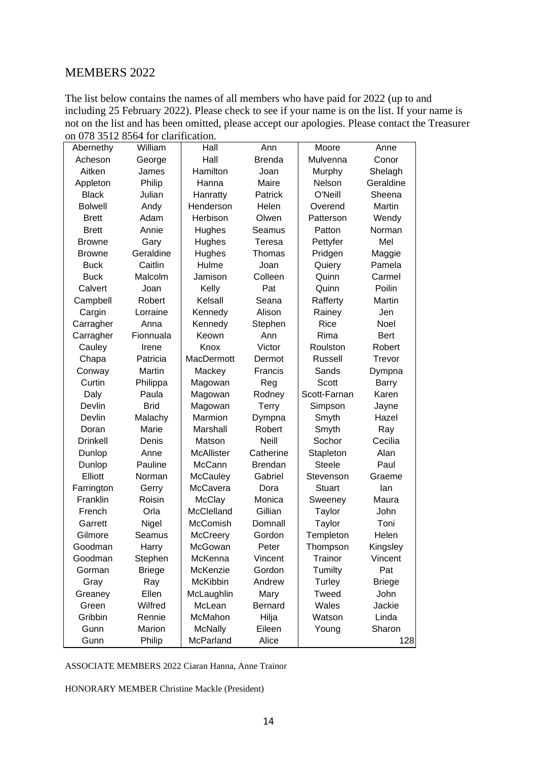#### MEMBERS 2022

The list below contains the names of all members who have paid for 2022 (up to and including 25 February 2022). Please check to see if your name is on the list. If your name is not on the list and has been omitted, please accept our apologies. Please contact the Treasurer on 078 3512 8564 for clarification.

| Abernethy       | William       | Hall            | Ann            | Moore         | Anne          |
|-----------------|---------------|-----------------|----------------|---------------|---------------|
| Acheson         | George        | Hall            | <b>Brenda</b>  | Mulvenna      | Conor         |
| Aitken          | James         | Hamilton        | Joan           | Murphy        | Shelagh       |
| Appleton        | Philip        | Hanna           | Maire          | Nelson        | Geraldine     |
| <b>Black</b>    | Julian        | Hanratty        | Patrick        | O'Neill       | Sheena        |
| <b>Bolwell</b>  | Andy          | Henderson       | Helen          | Overend       | Martin        |
| <b>Brett</b>    | Adam          | Herbison        | Olwen          | Patterson     | Wendy         |
| <b>Brett</b>    | Annie         | Hughes          | Seamus         | Patton        | Norman        |
| <b>Browne</b>   | Gary          | Hughes          | Teresa         | Pettyfer      | Mel           |
| <b>Browne</b>   | Geraldine     | Hughes          | Thomas         | Pridgen       | Maggie        |
| <b>Buck</b>     | Caitlin       | Hulme           | Joan           | Quiery        | Pamela        |
| <b>Buck</b>     | Malcolm       | Jamison         | Colleen        | Quinn         | Carmel        |
| Calvert         | Joan          | Kelly           | Pat            | Quinn         | Poilin        |
| Campbell        | Robert        | Kelsall         | Seana          | Rafferty      | Martin        |
| Cargin          | Lorraine      | Kennedy         | Alison         | Rainey        | Jen           |
| Carragher       | Anna          | Kennedy         | Stephen        | Rice          | Noel          |
| Carragher       | Fionnuala     | Keown           | Ann            | Rima          | Bert          |
| Cauley          | Irene         | Knox            | Victor         | Roulston      | Robert        |
| Chapa           | Patricia      | MacDermott      | Dermot         | Russell       | Trevor        |
| Conway          | Martin        | Mackey          | Francis        | Sands         | Dympna        |
| Curtin          | Philippa      | Magowan         | Reg            | <b>Scott</b>  | <b>Barry</b>  |
| Daly            | Paula         | Magowan         | Rodney         | Scott-Farnan  | Karen         |
| Devlin          | <b>Brid</b>   | Magowan         | Terry          | Simpson       | Jayne         |
| Devlin          | Malachy       | Marmion         | Dympna         | Smyth         | Hazel         |
| Doran           | Marie         | Marshall        | Robert         | Smyth         | Ray           |
| <b>Drinkell</b> | Denis         | Matson          | <b>Neill</b>   | Sochor        | Cecilia       |
| Dunlop          | Anne          | McAllister      | Catherine      | Stapleton     | Alan          |
| Dunlop          | Pauline       | McCann          | <b>Brendan</b> | <b>Steele</b> | Paul          |
| Elliott         | Norman        | <b>McCauley</b> | Gabriel        | Stevenson     | Graeme        |
| Farrington      | Gerry         | McCavera        | Dora           | Stuart        | lan           |
| Franklin        | Roisin        | <b>McClay</b>   | Monica         | Sweeney       | Maura         |
| French          | Orla          | McClelland      | Gillian        | Taylor        | John          |
| Garrett         | Nigel         | McComish        | Domnall        | Taylor        | Toni          |
| Gilmore         | Seamus        | <b>McCreery</b> | Gordon         | Templeton     | Helen         |
| Goodman         | Harry         | McGowan         | Peter          | Thompson      | Kingsley      |
| Goodman         | Stephen       | McKenna         | Vincent        | Trainor       | Vincent       |
| Gorman          | <b>Briege</b> | McKenzie        | Gordon         | Tumilty       | Pat           |
| Gray            | Ray           | McKibbin        | Andrew         | Turley        | <b>Briege</b> |
| Greaney         | Ellen         | McLaughlin      | Mary           | Tweed         | John          |
| Green           | Wilfred       | McLean          | Bernard        | Wales         | Jackie        |
| Gribbin         | Rennie        | McMahon         | Hilja          | Watson        | Linda         |
| Gunn            | Marion        | <b>McNally</b>  | Eileen         | Young         | Sharon        |
| Gunn            | Philip        | McParland       | Alice          |               | 128           |

ASSOCIATE MEMBERS 2022 Ciaran Hanna, Anne Trainor

HONORARY MEMBER Christine Mackle (President)